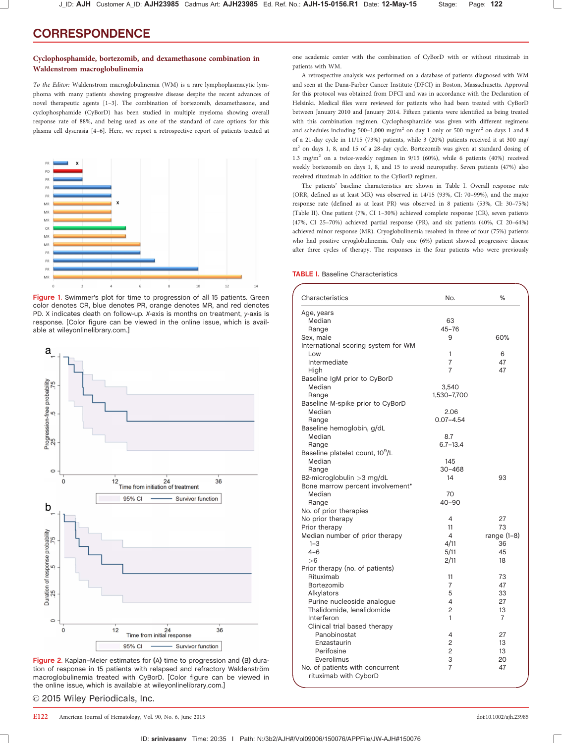## Cyclophosphamide, bortezomib, and dexamethasone combination in Waldenstrom macroglobulinemia

To the Editor: Waldenstrom macroglobulinemia (WM) is a rare lymphoplasmacytic lymphoma with many patients showing progressive disease despite the recent advances of novel therapeutic agents [1–3]. The combination of bortezomib, dexamethasone, and cyclophosphamide (CyBorD) has been studied in multiple myeloma showing overall response rate of 88%, and being used as one of the standard of care options for this plasma cell dyscrasia [4–6]. Here, we report a retrospective report of patients treated at



Figure 1. Swimmer's plot for time to progression of all 15 patients. Green color denotes CR, blue denotes PR, orange denotes MR, and red denotes PD. X indicates death on follow-up. X-axis is months on treatment, y-axis is response. [Color figure can be viewed in the online issue, which is available at [wileyonlinelibrary.com.](http://wileyonlinelibrary.com)]



Figure 2. Kaplan–Meier estimates for (A) time to progression and (B) duration of response in 15 patients with relapsed and refractory Waldenström macroglobulinemia treated with CyBorD. [Color figure can be viewed in the online issue, which is available at [wileyonlinelibrary.com.](http://wileyonlinelibrary.com)]

© 2015 Wiley Periodicals, Inc.

one academic center with the combination of CyBorD with or without rituximab in patients with WM.

A retrospective analysis was performed on a database of patients diagnosed with WM and seen at the Dana-Farber Cancer Institute (DFCI) in Boston, Massachusetts. Approval for this protocol was obtained from DFCI and was in accordance with the Declaration of Helsinki. Medical files were reviewed for patients who had been treated with CyBorD between January 2010 and January 2014. Fifteen patients were identified as being treated with this combination regimen. Cyclophosphamide was given with different regimens and schedules including 500–1,000 mg/m<sup>2</sup> on day 1 only or 500 mg/m<sup>2</sup> on days 1 and 8 of a 21-day cycle in 11/15 (73%) patients, while 3 (20%) patients received it at 300 mg/ m2 on days 1, 8, and 15 of a 28-day cycle. Bortezomib was given at standard dosing of 1.3 mg/m<sup>2</sup> on a twice-weekly regimen in 9/15 (60%), while 6 patients (40%) received weekly bortezomib on days 1, 8, and 15 to avoid neuropathy. Seven patients (47%) also received rituximab in addition to the CyBorD regimen.

The patients' baseline characteristics are shown in Table I. Overall response rate (ORR, defined as at least MR) was observed in 14/15 (93%, CI: 70–99%), and the major response rate (defined as at least PR) was observed in 8 patients (53%, CI: 30–75%) (Table II). One patient (7%, CI 1–30%) achieved complete response (CR), seven patients (47%, CI 25–70%) achieved partial response (PR), and six patients (40%, CI 20–64%) achieved minor response (MR). Cryoglobulinemia resolved in three of four (75%) patients who had positive cryoglobulinemia. Only one (6%) patient showed progressive disease after three cycles of therapy. The responses in the four patients who were previously

TABLE I. Baseline Characteristics

J\_ID: AJH Customer A\_ID: AJH23985 Cadmus Art: AJH23985 Ed. Ref. No.: AJH-15-0156.R1 Date: 12-May-15 Stage: Page: 122

| Characteristics                             | No.            | %              |
|---------------------------------------------|----------------|----------------|
| Age, years                                  |                |                |
| Median                                      | 63             |                |
| Range                                       | $45 - 76$      |                |
| Sex, male                                   | 9              | 60%            |
| International scoring system for WM         |                |                |
| Low                                         | 1              | 6              |
| Intermediate                                | $\overline{7}$ | 47             |
| High                                        | $\overline{7}$ | 47             |
| Baseline IgM prior to CyBorD                |                |                |
| Median                                      | 3,540          |                |
| Range                                       | 1,530-7,700    |                |
| Baseline M-spike prior to CyBorD            |                |                |
| Median                                      | 2.06           |                |
| Range                                       | $0.07 - 4.54$  |                |
| Baseline hemoglobin, g/dL                   |                |                |
| Median                                      | 8.7            |                |
| Range                                       | $6.7 - 13.4$   |                |
| Baseline platelet count, 10 <sup>9</sup> /L |                |                |
| Median                                      | 145            |                |
| Range                                       | $30 - 468$     |                |
| B2-microglobulin > 3 mg/dL                  | 14             | 93             |
| Bone marrow percent involvement*            |                |                |
| Median                                      | 70             |                |
| Range                                       | $40 - 90$      |                |
| No. of prior therapies                      |                |                |
| No prior therapy                            | 4              | 27             |
| Prior therapy                               | 11             | 73             |
| Median number of prior therapy              | 4              | range $(1-8)$  |
| $1 - 3$                                     | 4/11           | 36             |
| $4 - 6$                                     | 5/11           | 45             |
| >6                                          | 2/11           | 18             |
| Prior therapy (no. of patients)             |                |                |
| Rituximab                                   | 11             | 73             |
| Bortezomib                                  | $\overline{7}$ | 47             |
| Alkylators                                  | 5              | 33             |
| Purine nucleoside analogue                  | 4              | 27             |
| Thalidomide, lenalidomide                   | $\overline{c}$ | 13             |
| Interferon                                  | 1              | $\overline{7}$ |
| Clinical trial based therapy                |                |                |
| Panobinostat                                | 4              | 27             |
| Enzastaurin                                 | 2              | 13             |
| Perifosine                                  | $\overline{c}$ | 13             |
| Everolimus                                  | 3              | 20             |
| No. of patients with concurrent             | $\overline{7}$ | 47             |
| rituximab with CyborD                       |                |                |